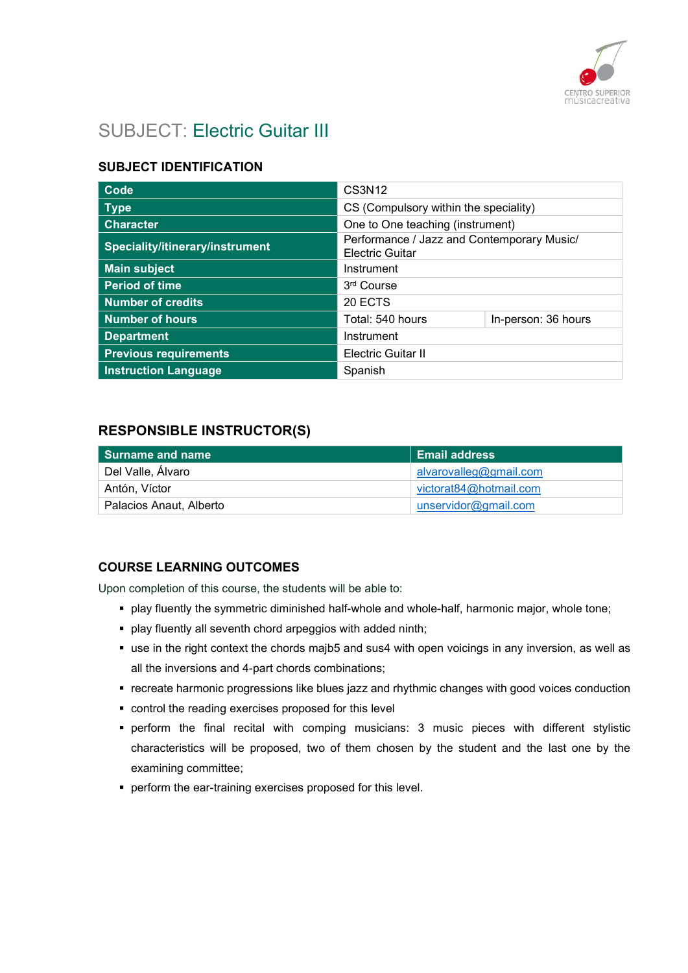

# SUBJECT: Electric Guitar III

## SUBJECT IDENTIFICATION

| Code                            | CS3N12                                                               |                     |
|---------------------------------|----------------------------------------------------------------------|---------------------|
| <b>Type</b>                     | CS (Compulsory within the speciality)                                |                     |
| <b>Character</b>                | One to One teaching (instrument)                                     |                     |
| Speciality/itinerary/instrument | Performance / Jazz and Contemporary Music/<br><b>Electric Guitar</b> |                     |
| <b>Main subject</b>             | Instrument                                                           |                     |
| <b>Period of time</b>           | 3 <sup>rd</sup> Course                                               |                     |
| <b>Number of credits</b>        | 20 ECTS                                                              |                     |
| <b>Number of hours</b>          | Total: 540 hours                                                     | In-person: 36 hours |
| <b>Department</b>               | Instrument                                                           |                     |
| <b>Previous requirements</b>    | <b>Electric Guitar II</b>                                            |                     |
| <b>Instruction Language</b>     | Spanish                                                              |                     |

## RESPONSIBLE INSTRUCTOR(S)

| Surname and name        | <b>Email address</b>   |
|-------------------------|------------------------|
| Del Valle, Álvaro       | alvarovalleg@gmail.com |
| Antón, Víctor           | victorat84@hotmail.com |
| Palacios Anaut, Alberto | unservidor@gmail.com   |

#### COURSE LEARNING OUTCOMES

Upon completion of this course, the students will be able to:

- play fluently the symmetric diminished half-whole and whole-half, harmonic major, whole tone;
- play fluently all seventh chord arpeggios with added ninth;
- use in the right context the chords majb5 and sus4 with open voicings in any inversion, as well as all the inversions and 4-part chords combinations;
- recreate harmonic progressions like blues jazz and rhythmic changes with good voices conduction
- control the reading exercises proposed for this level
- perform the final recital with comping musicians: 3 music pieces with different stylistic characteristics will be proposed, two of them chosen by the student and the last one by the examining committee;
- **perform the ear-training exercises proposed for this level.**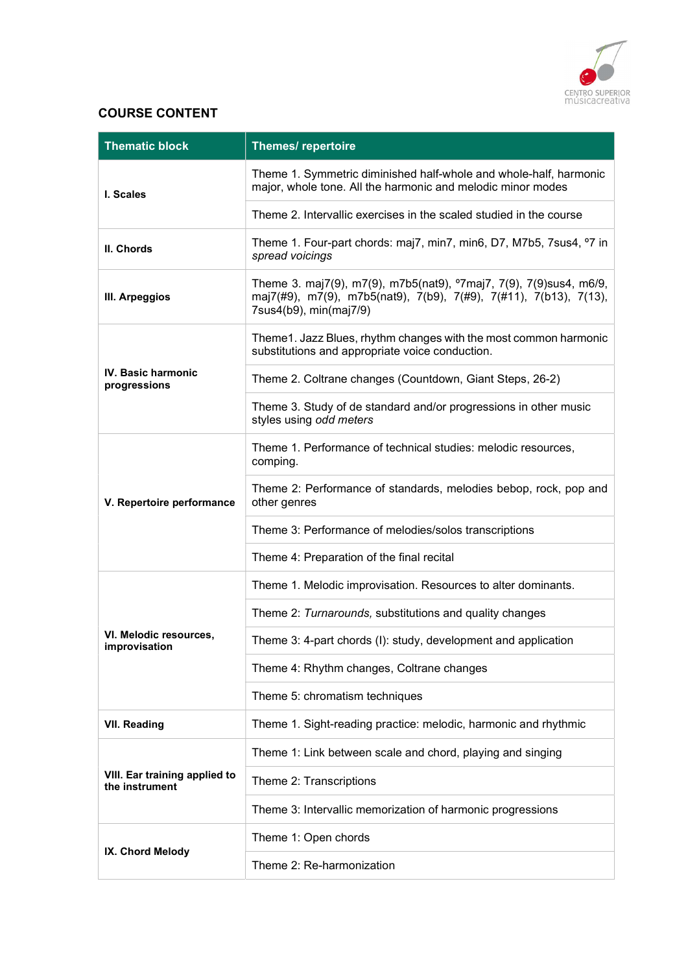

# COURSE CONTENT

| <b>Thematic block</b>                           | <b>Themes/ repertoire</b>                                                                                                                                                     |
|-------------------------------------------------|-------------------------------------------------------------------------------------------------------------------------------------------------------------------------------|
| I. Scales                                       | Theme 1. Symmetric diminished half-whole and whole-half, harmonic<br>major, whole tone. All the harmonic and melodic minor modes                                              |
|                                                 | Theme 2. Intervallic exercises in the scaled studied in the course                                                                                                            |
| II. Chords                                      | Theme 1. Four-part chords: maj7, min7, min6, D7, M7b5, 7sus4, °7 in<br>spread voicings                                                                                        |
| III. Arpeggios                                  | Theme 3. maj7(9), m7(9), m7b5(nat9), <sup>o</sup> 7maj7, 7(9), 7(9)sus4, m6/9,<br>maj7(#9), m7(9), m7b5(nat9), 7(b9), 7(#9), 7(#11), 7(b13), 7(13),<br>7sus4(b9), min(maj7/9) |
|                                                 | Theme1. Jazz Blues, rhythm changes with the most common harmonic<br>substitutions and appropriate voice conduction.                                                           |
| <b>IV. Basic harmonic</b><br>progressions       | Theme 2. Coltrane changes (Countdown, Giant Steps, 26-2)                                                                                                                      |
|                                                 | Theme 3. Study of de standard and/or progressions in other music<br>styles using odd meters                                                                                   |
|                                                 | Theme 1. Performance of technical studies: melodic resources,<br>comping.                                                                                                     |
| V. Repertoire performance                       | Theme 2: Performance of standards, melodies bebop, rock, pop and<br>other genres                                                                                              |
|                                                 | Theme 3: Performance of melodies/solos transcriptions                                                                                                                         |
|                                                 | Theme 4: Preparation of the final recital                                                                                                                                     |
|                                                 | Theme 1. Melodic improvisation. Resources to alter dominants.                                                                                                                 |
|                                                 | Theme 2: Turnarounds, substitutions and quality changes                                                                                                                       |
| VI. Melodic resources,<br>improvisation         | Theme 3: 4-part chords (I): study, development and application                                                                                                                |
|                                                 | Theme 4: Rhythm changes, Coltrane changes                                                                                                                                     |
|                                                 | Theme 5: chromatism techniques                                                                                                                                                |
| <b>VII. Reading</b>                             | Theme 1. Sight-reading practice: melodic, harmonic and rhythmic                                                                                                               |
|                                                 | Theme 1: Link between scale and chord, playing and singing                                                                                                                    |
| VIII. Ear training applied to<br>the instrument | Theme 2: Transcriptions                                                                                                                                                       |
|                                                 | Theme 3: Intervallic memorization of harmonic progressions                                                                                                                    |
|                                                 | Theme 1: Open chords                                                                                                                                                          |
| IX. Chord Melody                                | Theme 2: Re-harmonization                                                                                                                                                     |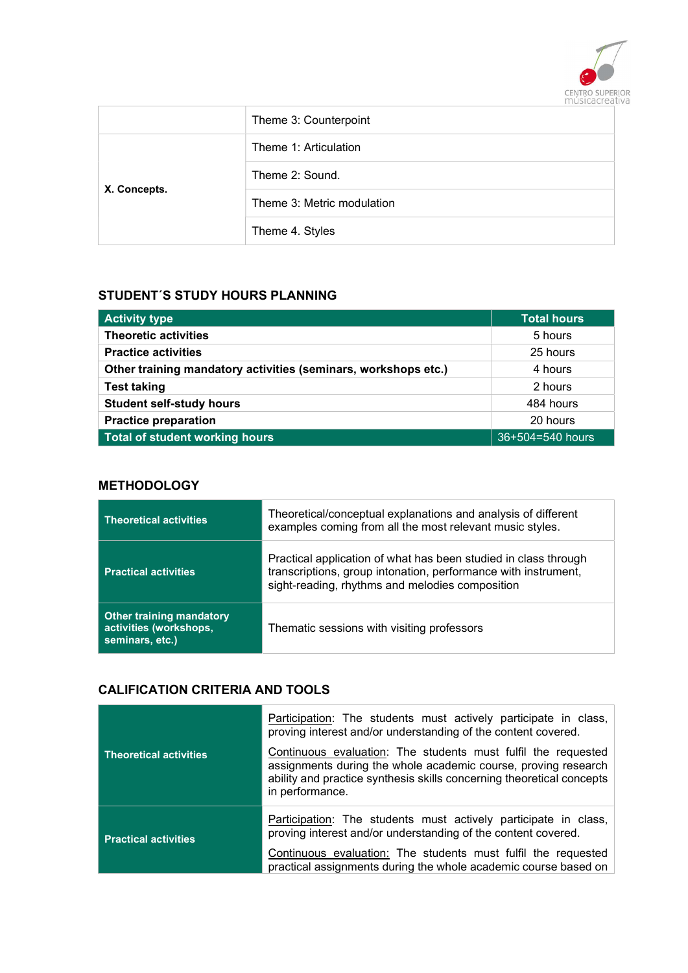

|              | Theme 3: Counterpoint      |
|--------------|----------------------------|
|              | Theme 1: Articulation      |
|              | Theme 2: Sound.            |
| X. Concepts. | Theme 3: Metric modulation |
|              | Theme 4. Styles            |

### STUDENT´S STUDY HOURS PLANNING

| <b>Activity type</b>                                           | Total hours      |
|----------------------------------------------------------------|------------------|
| <b>Theoretic activities</b>                                    | 5 hours          |
| <b>Practice activities</b>                                     | 25 hours         |
| Other training mandatory activities (seminars, workshops etc.) | 4 hours          |
| <b>Test taking</b>                                             | 2 hours          |
| <b>Student self-study hours</b>                                | 484 hours        |
| <b>Practice preparation</b>                                    | 20 hours         |
| Total of student working hours                                 | 36+504=540 hours |

### **METHODOLOGY**

| <b>Theoretical activities</b>                                                | Theoretical/conceptual explanations and analysis of different<br>examples coming from all the most relevant music styles.                                                            |
|------------------------------------------------------------------------------|--------------------------------------------------------------------------------------------------------------------------------------------------------------------------------------|
| <b>Practical activities</b>                                                  | Practical application of what has been studied in class through<br>transcriptions, group intonation, performance with instrument,<br>sight-reading, rhythms and melodies composition |
| <b>Other training mandatory</b><br>activities (workshops,<br>seminars, etc.) | Thematic sessions with visiting professors                                                                                                                                           |

# CALIFICATION CRITERIA AND TOOLS

| <b>Theoretical activities</b> | Participation: The students must actively participate in class,<br>proving interest and/or understanding of the content covered.<br>Continuous evaluation: The students must fulfil the requested<br>assignments during the whole academic course, proving research<br>ability and practice synthesis skills concerning theoretical concepts<br>in performance. |
|-------------------------------|-----------------------------------------------------------------------------------------------------------------------------------------------------------------------------------------------------------------------------------------------------------------------------------------------------------------------------------------------------------------|
| <b>Practical activities</b>   | Participation: The students must actively participate in class,<br>proving interest and/or understanding of the content covered.<br>Continuous evaluation: The students must fulfil the requested<br>practical assignments during the whole academic course based on                                                                                            |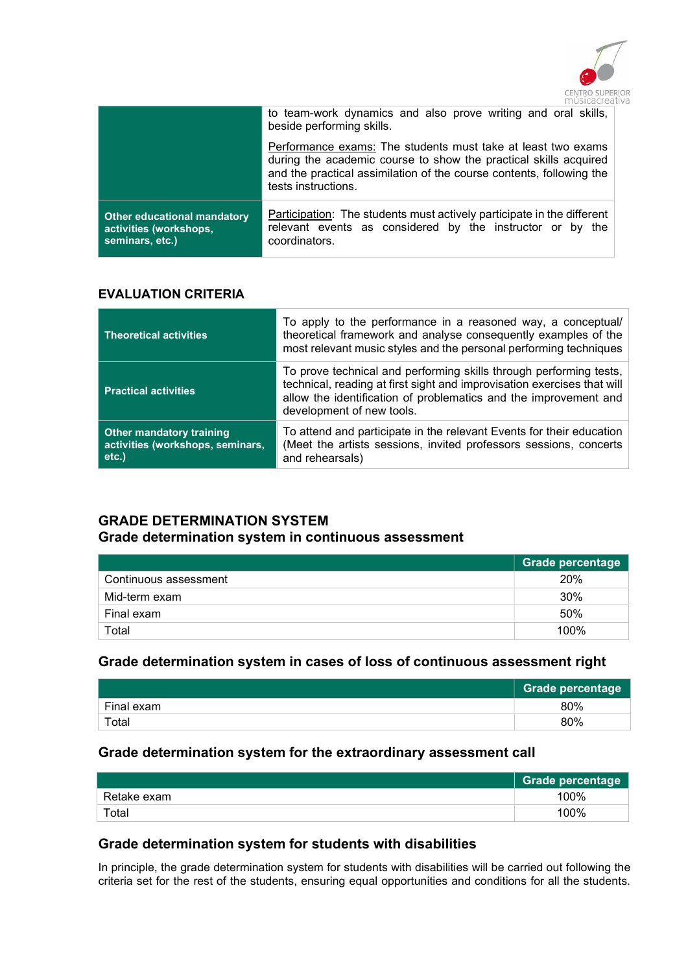

|                                                                                 | to team-work dynamics and also prove writing and oral skills,<br>beside performing skills.                                                                                                                                      |
|---------------------------------------------------------------------------------|---------------------------------------------------------------------------------------------------------------------------------------------------------------------------------------------------------------------------------|
|                                                                                 | Performance exams: The students must take at least two exams<br>during the academic course to show the practical skills acquired<br>and the practical assimilation of the course contents, following the<br>tests instructions. |
| <b>Other educational mandatory</b><br>activities (workshops,<br>seminars, etc.) | <b>Participation:</b> The students must actively participate in the different<br>relevant events as considered by the instructor or by the<br>coordinators.                                                                     |

### EVALUATION CRITERIA

| <b>Theoretical activities</b>                                                | To apply to the performance in a reasoned way, a conceptual/<br>theoretical framework and analyse consequently examples of the<br>most relevant music styles and the personal performing techniques                                            |
|------------------------------------------------------------------------------|------------------------------------------------------------------------------------------------------------------------------------------------------------------------------------------------------------------------------------------------|
| <b>Practical activities</b>                                                  | To prove technical and performing skills through performing tests,<br>technical, reading at first sight and improvisation exercises that will<br>allow the identification of problematics and the improvement and<br>development of new tools. |
| <b>Other mandatory training</b><br>activities (workshops, seminars,<br>etc.) | To attend and participate in the relevant Events for their education<br>(Meet the artists sessions, invited professors sessions, concerts<br>and rehearsals)                                                                                   |

# GRADE DETERMINATION SYSTEM Grade determination system in continuous assessment

|                       | Grade percentage |
|-----------------------|------------------|
| Continuous assessment | 20%              |
| Mid-term exam         | 30%              |
| Final exam            | 50%              |
| Total                 | 100%             |

# Grade determination system in cases of loss of continuous assessment right

|            | Grade percentage |
|------------|------------------|
| Final exam | 80%              |
| Total      | 80%              |

# Grade determination system for the extraordinary assessment call

|             | <b>Grade percentage</b> |
|-------------|-------------------------|
| Retake exam | 100%                    |
| Total       | 100%                    |

## Grade determination system for students with disabilities

In principle, the grade determination system for students with disabilities will be carried out following the criteria set for the rest of the students, ensuring equal opportunities and conditions for all the students.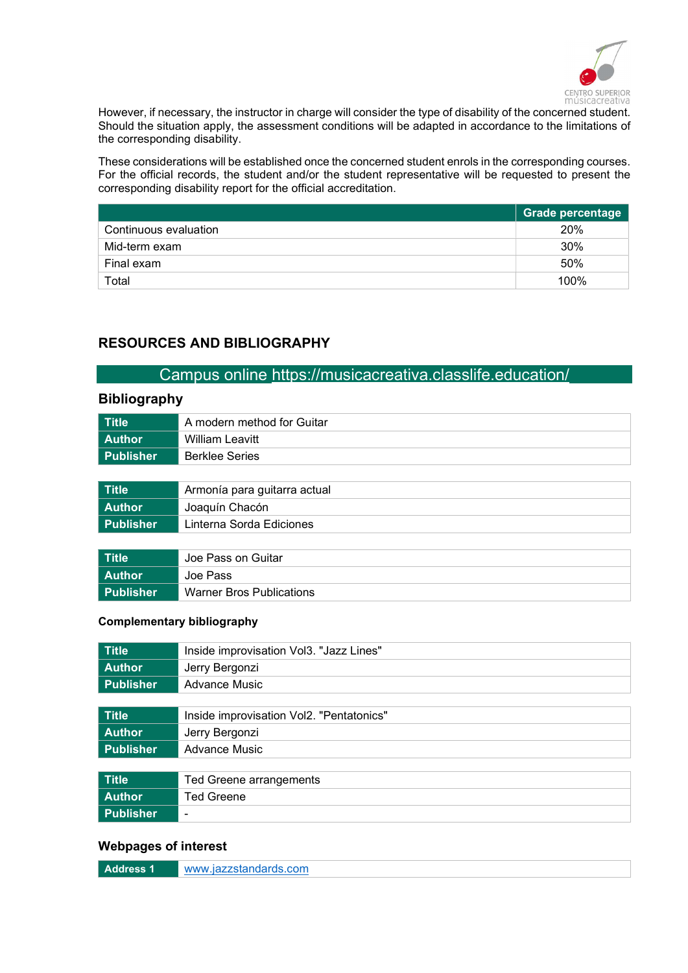

However, if necessary, the instructor in charge will consider the type of disability of the concerned student. Should the situation apply, the assessment conditions will be adapted in accordance to the limitations of the corresponding disability.

These considerations will be established once the concerned student enrols in the corresponding courses. For the official records, the student and/or the student representative will be requested to present the corresponding disability report for the official accreditation.

|                       | Grade percentage |
|-----------------------|------------------|
| Continuous evaluation | 20%              |
| Mid-term exam         | 30%              |
| Final exam            | 50%              |
| Total                 | 100%             |

# RESOURCES AND BIBLIOGRAPHY

# Campus online https://musicacreativa.classlife.education/

### Bibliography

| Title       | A modern method for Guitar |  |
|-------------|----------------------------|--|
| l Author    | William Leavitt            |  |
| l Publisher | <b>Berklee Series</b>      |  |

| Title     | Armonía para guitarra actual |  |
|-----------|------------------------------|--|
| Author    | Joaquín Chacón               |  |
| Publisher | Linterna Sorda Ediciones     |  |
|           |                              |  |

| Title       | Joe Pass on Guitar       |  |
|-------------|--------------------------|--|
| l Author    | Joe Pass                 |  |
| l Publisher | Warner Bros Publications |  |

#### Complementary bibliography

| <b>Title</b>     | Inside improvisation Vol3. "Jazz Lines"  |  |
|------------------|------------------------------------------|--|
| <b>Author</b>    | Jerry Bergonzi                           |  |
| <b>Publisher</b> | <b>Advance Music</b>                     |  |
|                  |                                          |  |
| <b>Title</b>     | Inside improvisation Vol2. "Pentatonics" |  |
| <b>Author</b>    | Jerry Bergonzi                           |  |
| <b>Publisher</b> | <b>Advance Music</b>                     |  |
|                  |                                          |  |
| <b>Title</b>     | Ted Greene arrangements                  |  |
| <b>Author</b>    | <b>Ted Greene</b>                        |  |
| <b>Publisher</b> | ۰                                        |  |

#### Webpages of interest

| Address | www.iazzstandards.com |
|---------|-----------------------|
|         |                       |